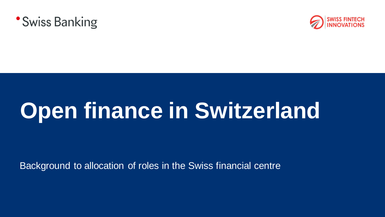



# **Open finance in Switzerland**

Background to allocation of roles in the Swiss financial centre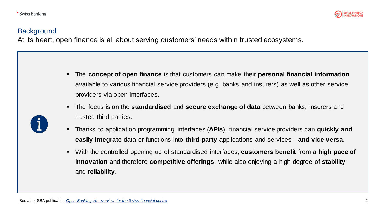

# **Background**

At its heart, open finance is all about serving customers' needs within trusted ecosystems.

- The **concept of open finance** is that customers can make their **personal financial information** available to various financial service providers (e.g. banks and insurers) as well as other service providers via open interfaces.
- The focus is on the **standardised** and **secure exchange of data** between banks, insurers and trusted third parties.
- Thanks to application programming interfaces (**APIs**), financial service providers can **quickly and easily integrate** data or functions into **third-party** applications and services – **and vice versa**.
- With the controlled opening up of standardised interfaces, **customers benefit** from a **high pace of innovation** and therefore **competitive offerings**, while also enjoying a high degree of **stability** and **reliability**.

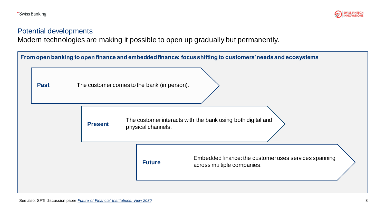

## Potential developments

Modern technologies are making it possible to open up gradually but permanently.

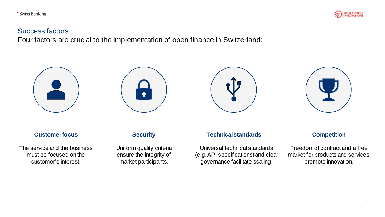

## Success factors

Four factors are crucial to the implementation of open finance in Switzerland:









#### **Customer focus**

The service and the business must be focused on the customer's interest.

#### **Security**

Uniform quality criteria ensure the integrity of market participants.

#### **Technical standards**

Universal technical standards (e.g. API specifications) and clear governance facilitate scaling.

#### **Competition**

Freedom of contract and a free market for products and services promote innovation.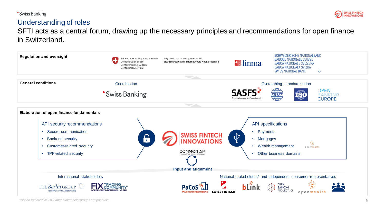**\*Swiss Banking** 



## Understanding of roles

SFTI acts as a central forum, drawing up the necessary principles and recommendations for open finance in Switzerland.



*\*Not an exhaustive list. Other stakeholder groups are possible.*